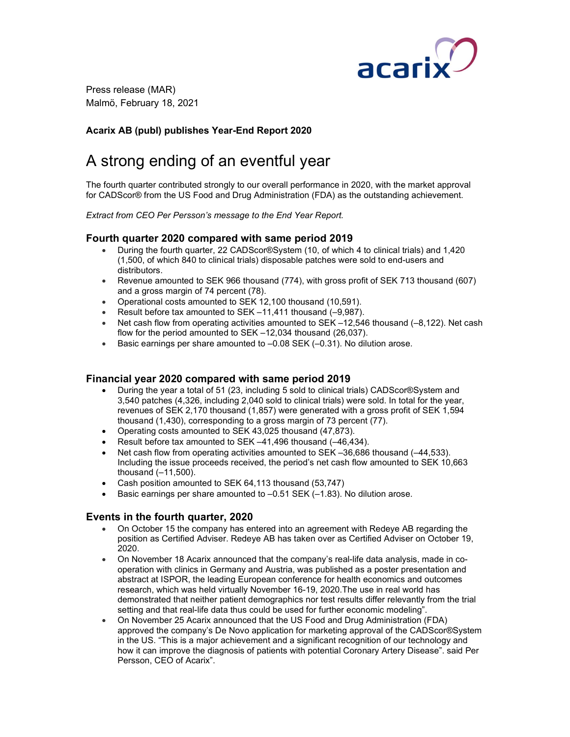

 Press release (MAR) Malmö, February 18, 2021

# Acarix AB (publ) publishes Year-End Report 2020

# A strong ending of an eventful year

The fourth quarter contributed strongly to our overall performance in 2020, with the market approval for CADScor® from the US Food and Drug Administration (FDA) as the outstanding achievement.

Extract from CEO Per Persson's message to the End Year Report.

### Fourth quarter 2020 compared with same period 2019

- During the fourth quarter, 22 CADScor®System (10, of which 4 to clinical trials) and 1,420 (1,500, of which 840 to clinical trials) disposable patches were sold to end-users and distributors.
- Revenue amounted to SEK 966 thousand (774), with gross profit of SEK 713 thousand (607) and a gross margin of 74 percent (78).
- Operational costs amounted to SEK 12,100 thousand (10,591).
- Result before tax amounted to SEK –11,411 thousand (–9,987).
- Net cash flow from operating activities amounted to SEK  $-12,546$  thousand  $(-8,122)$ . Net cash flow for the period amounted to SEK –12,034 thousand (26,037).
- Basic earnings per share amounted to -0.08 SEK (-0.31). No dilution arose.

#### Financial year 2020 compared with same period 2019

- During the year a total of 51 (23, including 5 sold to clinical trials) CADScor®System and 3,540 patches (4,326, including 2,040 sold to clinical trials) were sold. In total for the year, revenues of SEK 2,170 thousand (1,857) were generated with a gross profit of SEK 1,594 thousand (1,430), corresponding to a gross margin of 73 percent (77).
- Operating costs amounted to SEK 43,025 thousand (47,873).
- Result before tax amounted to SEK  $-41,496$  thousand  $(-46,434)$ .
- Net cash flow from operating activities amounted to SEK –36,686 thousand (–44,533). Including the issue proceeds received, the period's net cash flow amounted to SEK 10,663 thousand  $(-11,500)$ .
- Cash position amounted to SEK 64,113 thousand (53,747)
- Basic earnings per share amounted to –0.51 SEK (–1.83). No dilution arose.

#### Events in the fourth quarter, 2020

- On October 15 the company has entered into an agreement with Redeye AB regarding the position as Certified Adviser. Redeye AB has taken over as Certified Adviser on October 19, 2020.
- On November 18 Acarix announced that the company's real-life data analysis, made in cooperation with clinics in Germany and Austria, was published as a poster presentation and abstract at ISPOR, the leading European conference for health economics and outcomes research, which was held virtually November 16-19, 2020.The use in real world has demonstrated that neither patient demographics nor test results differ relevantly from the trial setting and that real-life data thus could be used for further economic modeling".
- On November 25 Acarix announced that the US Food and Drug Administration (FDA) approved the company's De Novo application for marketing approval of the CADScor®System in the US. "This is a major achievement and a significant recognition of our technology and how it can improve the diagnosis of patients with potential Coronary Artery Disease". said Per Persson, CEO of Acarix".